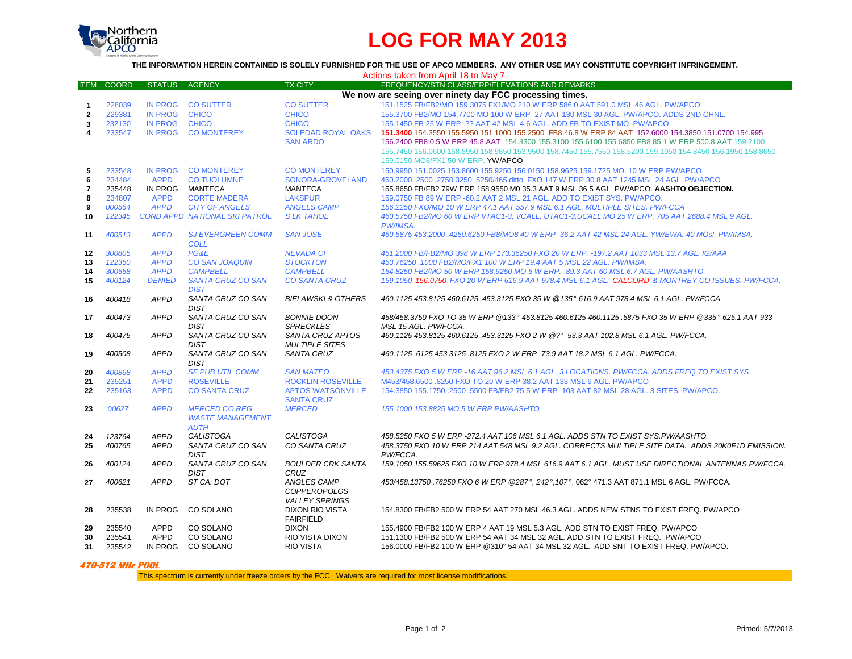

# **LOG FOR MAY 2013**

### **THE INFORMATION HEREIN CONTAINED IS SOLELY FURNISHED FOR THE USE OF APCO MEMBERS. ANY OTHER USE MAY CONSTITUTE COPYRIGHT INFRINGEMENT.**

| Actions taken from April 18 to May 7.                   |              |                |                                         |                                        |                                                                                                                              |
|---------------------------------------------------------|--------------|----------------|-----------------------------------------|----------------------------------------|------------------------------------------------------------------------------------------------------------------------------|
| <b>ITEM</b>                                             | <b>COORD</b> | <b>STATUS</b>  | <b>AGENCY</b>                           | <b>TX CITY</b>                         | FREQUENCY/STN CLASS/ERP/ELEVATIONS AND REMARKS                                                                               |
| We now are seeing over ninety day FCC processing times. |              |                |                                         |                                        |                                                                                                                              |
| $\mathbf{1}$                                            | 228039       |                | IN PROG CO SUTTER                       | <b>CO SUTTER</b>                       | 151.1525 FB/FB2/MO 159.3075 FX1/MO 210 W ERP 586.0 AAT 591.0 MSL 46 AGL, PW/APCO.                                            |
| $\mathbf{2}$                                            | 229381       | <b>IN PROG</b> | <b>CHICO</b>                            | <b>CHICO</b>                           | 155,3700 FB2/MO 154,7700 MO 100 W ERP -27 AAT 130 MSL 30 AGL, PW/APCO, ADDS 2ND CHNL.                                        |
| 3                                                       | 232130       | <b>IN PROG</b> | <b>CHICO</b>                            | <b>CHICO</b>                           | 155,1450 FB 25 W ERP ?? AAT 42 MSL 4.6 AGL, ADD FB TO EXIST MO, PW/APCO.                                                     |
| 4                                                       | 233547       | <b>IN PROG</b> | <b>CO MONTEREY</b>                      | <b>SOLEDAD ROYAL OAKS</b>              | 151,3400 154,3550 155,5950 151,1000 155,2500 FB8 46.8 W ERP 84 AAT 152,6000 154,3850 151,0700 154,995                        |
|                                                         |              |                |                                         | <b>SAN ARDO</b>                        | 156.2400 FB8 0.5 W ERP 45.8 AAT 154.4300 155.3100 155.6100 155.6850 FB8 85.1 W ERP 500.8 AAT 159.2100                        |
|                                                         |              |                |                                         |                                        | 155.7450 156.0600 158.8950 158.9850 153.9500 158.7450 155.7550 158.5200 159.1050 154.8450 156.1950 158.8650                  |
|                                                         |              |                |                                         |                                        | 159.0150 MO8/FX1 50 W ERP. YW/APCO                                                                                           |
| 5                                                       | 233548       | <b>IN PROG</b> | <b>CO MONTEREY</b>                      | <b>CO MONTEREY</b>                     | 150,9950 151,0025 153,8600 155,9250 156,0150 158,9625 159,1725 MO, 10 W ERP PW/APCO,                                         |
| 6                                                       | 234484       | <b>APPD</b>    | <b>CO TUOLUMNE</b>                      | SONORA-GROVELAND                       | 460.2000 .2500 .2750 3250 .5250/465.ditto FXO 147 W ERP 30.8 AAT 1245 MSL 24 AGL. PW/APCO                                    |
| $\overline{7}$                                          | 235448       |                | IN PROG MANTECA                         | <b>MANTECA</b>                         | 155.8650 FB/FB2 79W ERP 158.9550 M0 35.3 AAT 9 MSL 36.5 AGL PW/APCO. AASHTO OBJECTION.                                       |
| 8                                                       | 234807       | <b>APPD</b>    | <b>CORTE MADERA</b>                     | <b>LAKSPUR</b>                         | 159,0750 FB 89 W ERP -60.2 AAT 2 MSL 21 AGL, ADD TO EXIST SYS, PW/APCO.                                                      |
| 9                                                       | 000564       | <b>APPD</b>    | <b>CITY OF ANGELS</b>                   | <b>ANGELS CAMP</b>                     | 156.2250 FXO/MO 10 W ERP 47.1 AAT 557.9 MSL 6.1 AGL, MULTIPLE SITES, PW/FCCA                                                 |
| 10                                                      | 122345       |                | <b>COND APPD NATIONAL SKI PATROL</b>    | <b>SLKTAHOE</b>                        | 460.5750 FB2/MO 60 W ERP VTAC1-3, VCALL, UTAC1-3, UCALL MO 25 W ERP. 705 AAT 2688.4 MSL 9 AGL.                               |
|                                                         |              |                |                                         |                                        | PW/IMSA.                                                                                                                     |
| 11                                                      | 400513       | <b>APPD</b>    | <b>SJ EVERGREEN COMM</b>                | <b>SAN JOSE</b>                        | 460.5875 453.2000 .4250.6250 FB8/MO8 40 W ERP -36.2 AAT 42 MSL 24 AGL, YW/EWA, 40 MOs! PW/IMSA.                              |
|                                                         |              |                | <b>COLL</b>                             |                                        |                                                                                                                              |
| 12                                                      | 300805       | <b>APPD</b>    | PG&E                                    | <b>NEVADA CI</b>                       | 451.2000 FB/FB2/MO 398 W ERP 173.36250 FXO 20 W ERP. - 197.2 AAT 1033 MSL 13.7 AGL. IG/AAA                                   |
| 13                                                      | 122350       | <b>APPD</b>    | <b>CO SAN JOAQUIN</b>                   | <b>STOCKTON</b>                        | 453.76250 .1000 FB2/MO/FX1 100 W ERP 19.4 AAT 5 MSL 22 AGL. PW/IMSA.                                                         |
| 14                                                      | 300558       | <b>APPD</b>    | <b>CAMPBELL</b>                         | <b>CAMPBELL</b>                        | 154.8250 FB2/MO 50 W ERP 158.9250 MO 5 W ERP. -89.3 AAT 60 MSL 6.7 AGL. PW/AASHTO.                                           |
| 15                                                      | 400124       | <b>DENIED</b>  | <b>SANTA CRUZ CO SAN</b><br><b>DIST</b> | <b>CO SANTA CRUZ</b>                   | 159.1050 156.0750 FXO 20 W ERP 616.9 AAT 978.4 MSL 6.1 AGL. CALCORD & MONTREY CO ISSUES. PW/FCCA.                            |
| 16                                                      | 400418       | <b>APPD</b>    | SANTA CRUZ CO SAN                       | <b>BIELAWSKI &amp; OTHERS</b>          | 460.1125 453.8125 460.6125 .453.3125 FXO 35 W @135° 616.9 AAT 978.4 MSL 6.1 AGL. PW/FCCA.                                    |
|                                                         |              | <b>APPD</b>    | <b>DIST</b>                             |                                        |                                                                                                                              |
| 17                                                      | 400473       |                | SANTA CRUZ CO SAN<br><b>DIST</b>        | <b>BONNIE DOON</b><br><b>SPRECKLES</b> | 458/458.3750 FXO TO 35 W ERP @133° 453.8125 460.6125 460.1125 .5875 FXO 35 W ERP @335° 625.1 AAT 933<br>MSL 15 AGL. PW/FCCA. |
| 18                                                      | 400475       | <b>APPD</b>    | SANTA CRUZ CO SAN                       | SANTA CRUZ APTOS                       | 460.1125 453.8125 460.6125 .453.3125 FXO 2 W @? -53.3 AAT 102.8 MSL 6.1 AGL. PW/FCCA.                                        |
|                                                         |              |                | <b>DIST</b>                             | <b>MULTIPLE SITES</b>                  |                                                                                                                              |
| 19                                                      | 400508       | <b>APPD</b>    | SANTA CRUZ CO SAN                       | <b>SANTA CRUZ</b>                      | 460.1125.6125 453.3125.8125 FXO 2 W ERP -73.9 AAT 18.2 MSL 6.1 AGL. PW/FCCA.                                                 |
|                                                         |              |                | <b>DIST</b>                             |                                        |                                                                                                                              |
| 20                                                      | 400868       | <b>APPD</b>    | <b>SF PUB UTIL COMM</b>                 | <b>SAN MATEO</b>                       | 453.4375 FXO 5 W ERP -16 AAT 96.2 MSL 6.1 AGL. 3 LOCATIONS. PW/FCCA, ADDS FREQ TO EXIST SYS.                                 |
| 21                                                      | 235251       | <b>APPD</b>    | <b>ROSEVILLE</b>                        | <b>ROCKLIN ROSEVILLE</b>               | M453/458.6500 .8250 FXO TO 20 W ERP 38.2 AAT 133 MSL 6 AGL, PW/APCO                                                          |
| 22                                                      | 235163       | <b>APPD</b>    | <b>CO SANTA CRUZ</b>                    | <b>APTOS WATSONVILLE</b>               | 154.3850 155.1750 .2500 .5500 FB/FB2 75.5 W ERP -103 AAT 82 MSL 28 AGL. 3 SITES. PW/APCO.                                    |
|                                                         |              |                |                                         | <b>SANTA CRUZ</b>                      |                                                                                                                              |
| 23                                                      | 00627        | <b>APPD</b>    | <b>MERCED CO REG</b>                    | <b>MERCED</b>                          | 155.1000 153.8825 MO 5 W ERP PW/AASHTO                                                                                       |
|                                                         |              |                | <b>WASTE MANAGEMENT</b>                 |                                        |                                                                                                                              |
|                                                         |              |                | <b>AUTH</b>                             |                                        |                                                                                                                              |
| 24                                                      | 123764       | <b>APPD</b>    | <b>CALISTOGA</b>                        | <b>CALISTOGA</b>                       | 458.5250 FXO 5 W ERP -272.4 AAT 106 MSL 6.1 AGL. ADDS STN TO EXIST SYS.PW/AASHTO.                                            |
| 25                                                      | 400765       | <b>APPD</b>    | SANTA CRUZ CO SAN                       | CO SANTA CRUZ                          | 458.3750 FXO 10 W ERP 214 AAT 548 MSL 9.2 AGL. CORRECTS MULTIPLE SITE DATA. ADDS 20K0F1D EMISSION.                           |
|                                                         |              |                | <b>DIST</b>                             |                                        | PW/FCCA.                                                                                                                     |
| 26                                                      | 400124       | <b>APPD</b>    | SANTA CRUZ CO SAN                       | <b>BOULDER CRK SANTA</b>               | 159.1050 155.59625 FXO 10 W ERP 978.4 MSL 616.9 AAT 6.1 AGL. MUST USE DIRECTIONAL ANTENNAS PW/FCCA.                          |
|                                                         |              |                | <b>DIST</b>                             | <b>CRUZ</b>                            |                                                                                                                              |
| 27                                                      | 400621       | <b>APPD</b>    | ST CA: DOT                              | ANGLES CAMP                            | 453/458.13750.76250 FXO 6 W ERP @287°, 242°, 107°, 062° 471.3 AAT 871.1 MSL 6 AGL. PW/FCCA.                                  |
|                                                         |              |                |                                         | <b>COPPEROPOLOS</b>                    |                                                                                                                              |
|                                                         |              |                |                                         | <b>VALLEY SPRINGS</b>                  |                                                                                                                              |
| 28                                                      | 235538       | IN PROG        | CO SOLANO                               | <b>DIXON RIO VISTA</b>                 | 154.8300 FB/FB2 500 W ERP 54 AAT 270 MSL 46.3 AGL. ADDS NEW STNS TO EXIST FREQ. PW/APCO                                      |
|                                                         |              |                |                                         | <b>FAIRFIELD</b>                       |                                                                                                                              |
| 29                                                      | 235540       | <b>APPD</b>    | CO SOLANO                               | <b>DIXON</b>                           | 155,4900 FB/FB2 100 W ERP 4 AAT 19 MSL 5.3 AGL, ADD STN TO EXIST FREQ, PW/APCO                                               |
| 30                                                      | 235541       | <b>APPD</b>    | CO SOLANO                               | RIO VISTA DIXON                        | 151.1300 FB/FB2 500 W ERP 54 AAT 34 MSL 32 AGL. ADD STN TO EXIST FREQ. PW/APCO                                               |
| 31                                                      | 235542       |                | IN PROG CO SOLANO                       | <b>RIO VISTA</b>                       | 156.0000 FB/FB2 100 W ERP @310° 54 AAT 34 MSL 32 AGL. ADD SNT TO EXIST FREQ. PW/APCO.                                        |

#### **470-512 MHz POOL**

This spectrum is currently under freeze orders by the FCC. Waivers are required for most license modifications.